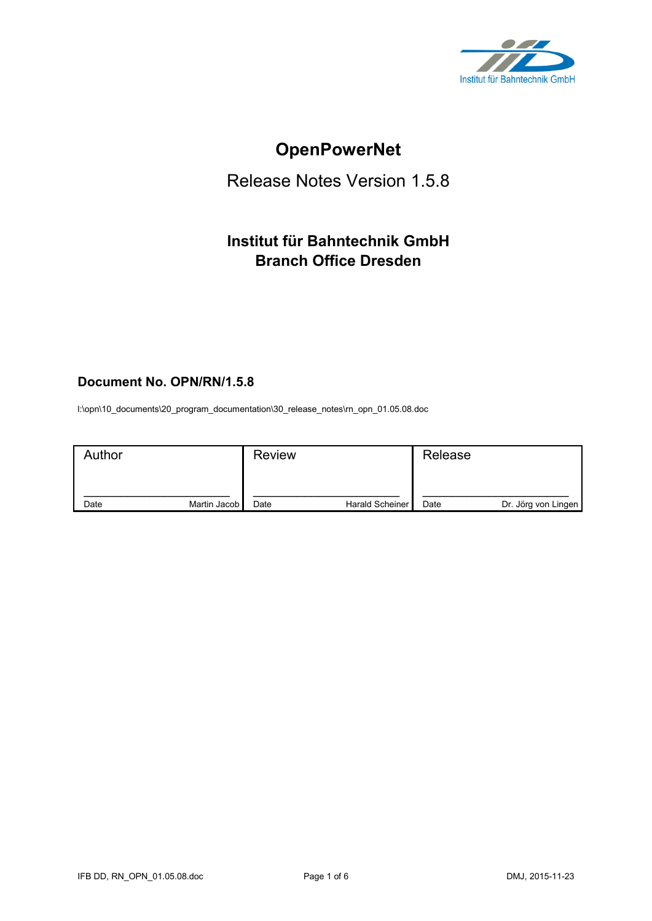

# **OpenPowerNet**

# Release Notes Version 1.5.8

# **Institut für Bahntechnik GmbH Branch Office Dresden**

# **Document No. OPN/RN/1.5.8**

l:\opn\10\_documents\20\_program\_documentation\30\_release\_notes\rn\_opn\_01.05.08.doc

| Author |              | <b>Review</b> |                 | Release |                     |
|--------|--------------|---------------|-----------------|---------|---------------------|
| Date   | Martin Jacob | Date          | Harald Scheiner | Date    | Dr. Jörg von Lingen |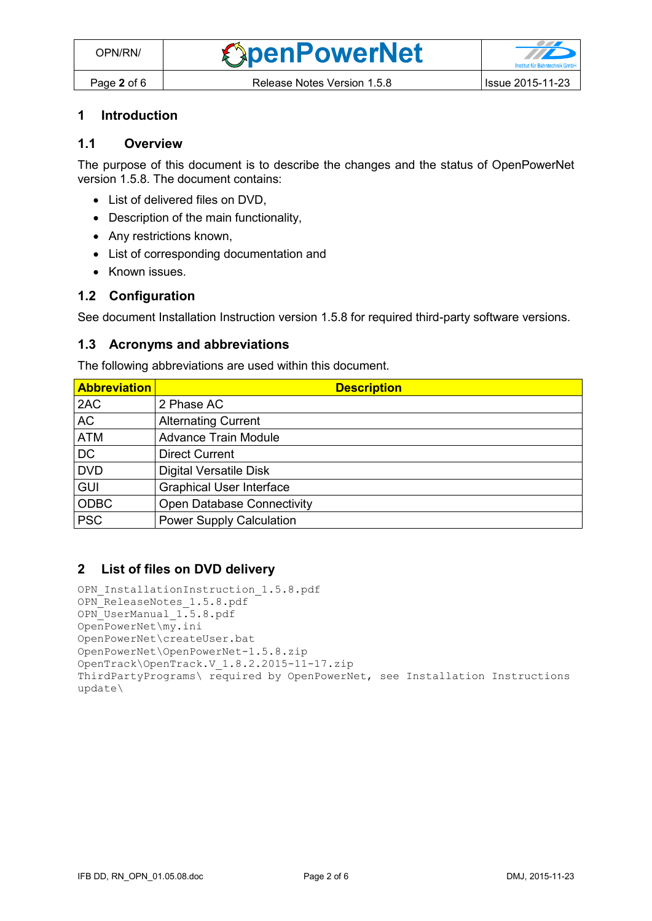#### **1 Introduction**

# **1.1 Overview**

The purpose of this document is to describe the changes and the status of OpenPowerNet version 1.5.8. The document contains:

- List of delivered files on DVD.
- Description of the main functionality,
- Any restrictions known,
- List of corresponding documentation and
- Known issues.

#### **1.2 Configuration**

See document Installation Instruction version 1.5.8 for required third-party software versions.

#### **1.3 Acronyms and abbreviations**

The following abbreviations are used within this document.

| <b>Abbreviation</b> | <b>Description</b>                |
|---------------------|-----------------------------------|
| 2AC                 | 2 Phase AC                        |
| <b>AC</b>           | <b>Alternating Current</b>        |
| <b>ATM</b>          | <b>Advance Train Module</b>       |
| <b>DC</b>           | <b>Direct Current</b>             |
| <b>DVD</b>          | <b>Digital Versatile Disk</b>     |
| <b>GUI</b>          | <b>Graphical User Interface</b>   |
| <b>ODBC</b>         | <b>Open Database Connectivity</b> |
| <b>PSC</b>          | <b>Power Supply Calculation</b>   |

#### **2 List of files on DVD delivery**

```
OPN InstallationInstruction 1.5.8.pdf
OPN_ReleaseNotes_1.5.8.pdf
OPN_UserManual_1.5.8.pdf
OpenPowerNet\my.ini
OpenPowerNet\createUser.bat
OpenPowerNet\OpenPowerNet-1.5.8.zip
OpenTrack\OpenTrack.V_1.8.2.2015-11-17.zip
ThirdPartyPrograms\ required by OpenPowerNet, see Installation Instructions
update\
```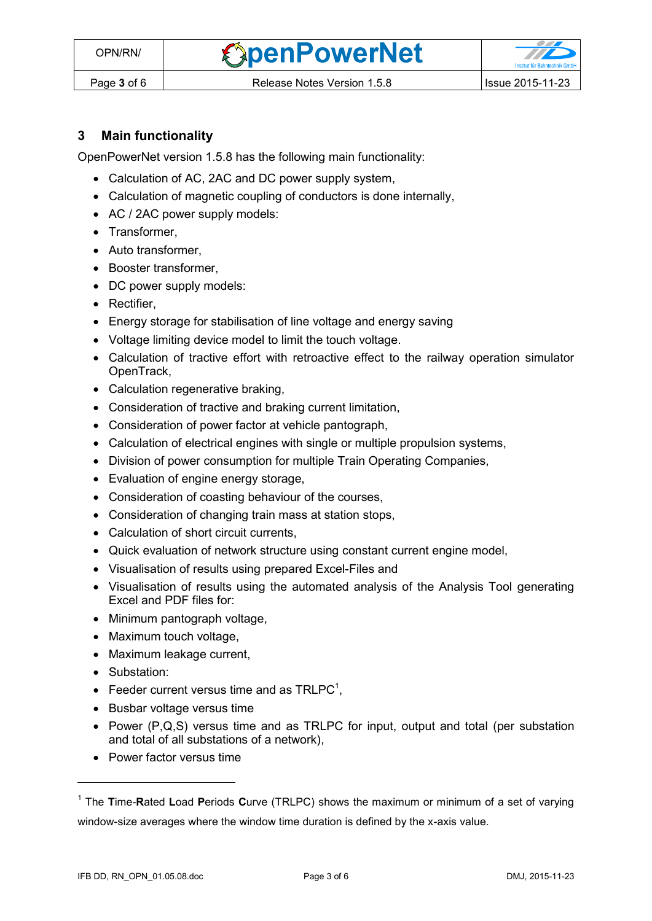**OpenPowerNet** 

## **3 Main functionality**

OpenPowerNet version 1.5.8 has the following main functionality:

- Calculation of AC, 2AC and DC power supply system,
- Calculation of magnetic coupling of conductors is done internally,
- AC / 2AC power supply models:
- Transformer,
- Auto transformer.
- Booster transformer,
- DC power supply models:
- Rectifier,
- Energy storage for stabilisation of line voltage and energy saving
- Voltage limiting device model to limit the touch voltage.
- Calculation of tractive effort with retroactive effect to the railway operation simulator OpenTrack,
- Calculation regenerative braking,
- Consideration of tractive and braking current limitation,
- Consideration of power factor at vehicle pantograph,
- Calculation of electrical engines with single or multiple propulsion systems,
- Division of power consumption for multiple Train Operating Companies,
- Evaluation of engine energy storage,
- Consideration of coasting behaviour of the courses,
- Consideration of changing train mass at station stops,
- Calculation of short circuit currents,
- Quick evaluation of network structure using constant current engine model,
- Visualisation of results using prepared Excel-Files and
- Visualisation of results using the automated analysis of the Analysis Tool generating Excel and PDF files for:
- Minimum pantograph voltage,
- Maximum touch voltage,
- Maximum leakage current,
- Substation:

 $\overline{a}$ 

- <span id="page-2-0"></span>• Feeder current versus time and as  $TRLPC<sup>1</sup>$ ,
- Busbar voltage versus time
- Power  $(P,Q,S)$  versus time and as TRLPC for input, output and total (per substation and total of all substations of a network),
- Power factor versus time

<sup>1</sup> The **T**ime-**R**ated **L**oad **P**eriods **C**urve (TRLPC) shows the maximum or minimum of a set of varying window-size averages where the window time duration is defined by the x-axis value.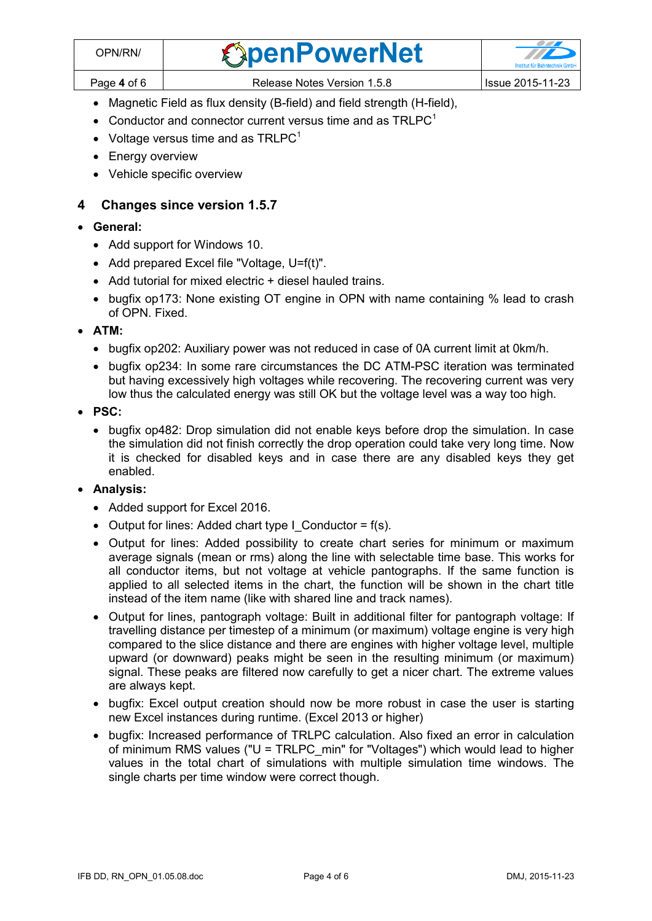- Magnetic Field as flux density (B-field) and field strength (H-field),
- [C](#page-2-0)onductor and connector current versus time and as  $TRLPC<sup>1</sup>$
- Voltage versus time and as  $TRLPC<sup>1</sup>$  $TRLPC<sup>1</sup>$  $TRLPC<sup>1</sup>$
- Energy overview
- Vehicle specific overview

# **4 Changes since version 1.5.7**

### **General:**

- Add support for Windows 10.
- Add prepared Excel file "Voltage, U=f(t)".
- Add tutorial for mixed electric + diesel hauled trains.
- bugfix op173: None existing OT engine in OPN with name containing % lead to crash of OPN. Fixed.

#### **ATM:**

- bugfix op202: Auxiliary power was not reduced in case of 0A current limit at 0km/h.
- bugfix op234: In some rare circumstances the DC ATM-PSC iteration was terminated but having excessively high voltages while recovering. The recovering current was very low thus the calculated energy was still OK but the voltage level was a way too high.
- **PSC:** 
	- bugfix op482: Drop simulation did not enable keys before drop the simulation. In case the simulation did not finish correctly the drop operation could take very long time. Now it is checked for disabled keys and in case there are any disabled keys they get enabled.

### **Analysis:**

- Added support for Excel 2016.
- Output for lines: Added chart type I Conductor =  $f(s)$ .
- Output for lines: Added possibility to create chart series for minimum or maximum average signals (mean or rms) along the line with selectable time base. This works for all conductor items, but not voltage at vehicle pantographs. If the same function is applied to all selected items in the chart, the function will be shown in the chart title instead of the item name (like with shared line and track names).
- Output for lines, pantograph voltage: Built in additional filter for pantograph voltage: If travelling distance per timestep of a minimum (or maximum) voltage engine is very high compared to the slice distance and there are engines with higher voltage level, multiple upward (or downward) peaks might be seen in the resulting minimum (or maximum) signal. These peaks are filtered now carefully to get a nicer chart. The extreme values are always kept.
- bugfix: Excel output creation should now be more robust in case the user is starting new Excel instances during runtime. (Excel 2013 or higher)
- bugfix: Increased performance of TRLPC calculation. Also fixed an error in calculation of minimum RMS values ("U = TRLPC\_min" for "Voltages") which would lead to higher values in the total chart of simulations with multiple simulation time windows. The single charts per time window were correct though.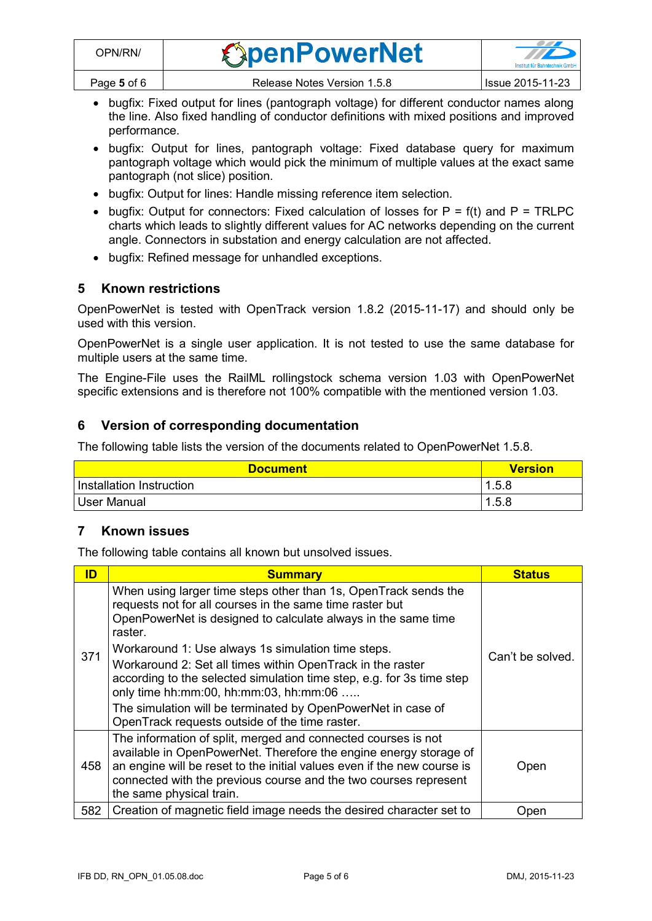- bugfix: Fixed output for lines (pantograph voltage) for different conductor names along the line. Also fixed handling of conductor definitions with mixed positions and improved performance.
- bugfix: Output for lines, pantograph voltage: Fixed database query for maximum pantograph voltage which would pick the minimum of multiple values at the exact same pantograph (not slice) position.
- bugfix: Output for lines: Handle missing reference item selection.
- bugfix: Output for connectors: Fixed calculation of losses for  $P = f(t)$  and  $P = TRLPC$ charts which leads to slightly different values for AC networks depending on the current angle. Connectors in substation and energy calculation are not affected.
- bugfix: Refined message for unhandled exceptions.

### **5 Known restrictions**

OpenPowerNet is tested with OpenTrack version 1.8.2 (2015-11-17) and should only be used with this version.

OpenPowerNet is a single user application. It is not tested to use the same database for multiple users at the same time.

The Engine-File uses the RailML rollingstock schema version 1.03 with OpenPowerNet specific extensions and is therefore not 100% compatible with the mentioned version 1.03.

### **6 Version of corresponding documentation**

The following table lists the version of the documents related to OpenPowerNet 1.5.8.

| <b>Document</b>          | <b>Version</b> |
|--------------------------|----------------|
| Installation Instruction | 1.5.8          |
| User Manual              | 1.5.8          |

### **7 Known issues**

The following table contains all known but unsolved issues.

| ID  | <b>Summary</b>                                                                                                                                                                                                                                                                                                                                                                                                                                                                                                 | <b>Status</b>    |
|-----|----------------------------------------------------------------------------------------------------------------------------------------------------------------------------------------------------------------------------------------------------------------------------------------------------------------------------------------------------------------------------------------------------------------------------------------------------------------------------------------------------------------|------------------|
| 371 | When using larger time steps other than 1s, OpenTrack sends the<br>requests not for all courses in the same time raster but<br>OpenPowerNet is designed to calculate always in the same time<br>raster.<br>Workaround 1: Use always 1s simulation time steps.<br>Workaround 2: Set all times within OpenTrack in the raster<br>according to the selected simulation time step, e.g. for 3s time step<br>only time hh:mm:00, hh:mm:03, hh:mm:06<br>The simulation will be terminated by OpenPowerNet in case of | Can't be solved. |
|     | OpenTrack requests outside of the time raster.                                                                                                                                                                                                                                                                                                                                                                                                                                                                 |                  |
| 458 | The information of split, merged and connected courses is not<br>available in OpenPowerNet. Therefore the engine energy storage of<br>an engine will be reset to the initial values even if the new course is<br>connected with the previous course and the two courses represent<br>the same physical train.                                                                                                                                                                                                  | Open             |
| 582 | Creation of magnetic field image needs the desired character set to                                                                                                                                                                                                                                                                                                                                                                                                                                            | Open             |